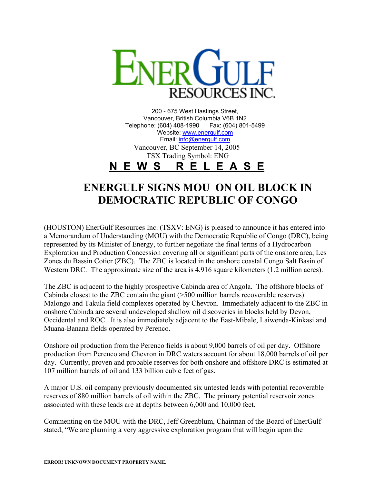

200 - 675 West Hastings Street, Vancouver, British Columbia V6B 1N2 Telephone: (604) 408-1990 Fax: (604) 801-5499 Website: [www.energulf.com](http://www.energulf.com/) Email: [info@energulf.com](mailto:info@energulf.com) Vancouver, BC September 14, 2005 TSX Trading Symbol: ENG **N E W S R E L E A S E**

## **ENERGULF SIGNS MOU ON OIL BLOCK IN DEMOCRATIC REPUBLIC OF CONGO**

(HOUSTON) EnerGulf Resources Inc. (TSXV: ENG) is pleased to announce it has entered into a Memorandum of Understanding (MOU) with the Democratic Republic of Congo (DRC), being represented by its Minister of Energy, to further negotiate the final terms of a Hydrocarbon Exploration and Production Concession covering all or significant parts of the onshore area, Les Zones du Bassin Cotier (ZBC). The ZBC is located in the onshore coastal Congo Salt Basin of Western DRC. The approximate size of the area is 4,916 square kilometers (1.2 million acres).

The ZBC is adjacent to the highly prospective Cabinda area of Angola. The offshore blocks of Cabinda closest to the ZBC contain the giant (>500 million barrels recoverable reserves) Malongo and Takula field complexes operated by Chevron. Immediately adjacent to the ZBC in onshore Cabinda are several undeveloped shallow oil discoveries in blocks held by Devon, Occidental and ROC. It is also immediately adjacent to the East-Mibale, Laiwenda-Kinkasi and Muana-Banana fields operated by Perenco.

Onshore oil production from the Perenco fields is about 9,000 barrels of oil per day. Offshore production from Perenco and Chevron in DRC waters account for about 18,000 barrels of oil per day. Currently, proven and probable reserves for both onshore and offshore DRC is estimated at 107 million barrels of oil and 133 billion cubic feet of gas.

A major U.S. oil company previously documented six untested leads with potential recoverable reserves of 880 million barrels of oil within the ZBC. The primary potential reservoir zones associated with these leads are at depths between 6,000 and 10,000 feet.

Commenting on the MOU with the DRC, Jeff Greenblum, Chairman of the Board of EnerGulf stated, "We are planning a very aggressive exploration program that will begin upon the